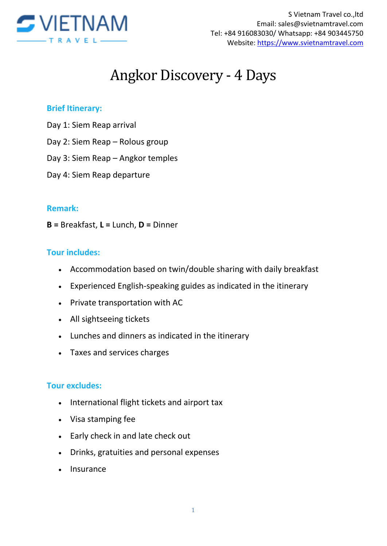

# Angkor Discovery - 4 Days

#### **Brief Itinerary:**

- Day 1: Siem Reap arrival
- Day 2: Siem Reap Rolous group
- Day 3: Siem Reap Angkor temples
- Day 4: Siem Reap departure

#### **Remark:**

**B =** Breakfast, **L =** Lunch, **D =** Dinner

#### **Tour includes:**

- Accommodation based on twin/double sharing with daily breakfast
- Experienced English-speaking guides as indicated in the itinerary
- Private transportation with AC
- All sightseeing tickets
- Lunches and dinners as indicated in the itinerary
- Taxes and services charges

#### **Tour excludes:**

- International flight tickets and airport tax
- Visa stamping fee
- Early check in and late check out
- Drinks, gratuities and personal expenses
- Insurance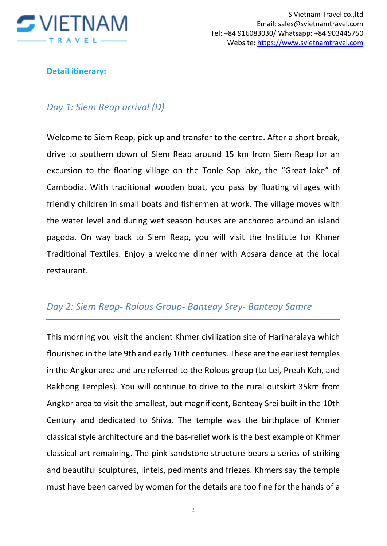

#### **Detail itinerary:**

## *Day 1: Siem Reap arrival (D)*

Welcome to Siem Reap, pick up and transfer to the centre. After a short break, drive to southern down of Siem Reap around 15 km from Siem Reap for an excursion to the floating village on the Tonle Sap lake, the "Great lake" of Cambodia. With traditional wooden boat, you pass by floating villages with friendly children in small boats and fishermen at work. The village moves with the water level and during wet season houses are anchored around an island pagoda. On way back to Siem Reap, you will visit the Institute for Khmer Traditional Textiles. Enjoy a welcome dinner with Apsara dance at the local restaurant.

## *Day 2: Siem Reap- Rolous Group- Banteay Srey- Banteay Samre*

This morning you visit the ancient Khmer civilization site of Hariharalaya which flourished in the late 9th and early 10th centuries. These are the earliest temples in the Angkor area and are referred to the Rolous group (Lo Lei, Preah Koh, and Bakhong Temples). You will continue to drive to the rural outskirt 35km from Angkor area to visit the smallest, but magnificent, Banteay Srei built in the 10th Century and dedicated to Shiva. The temple was the birthplace of Khmer classical style architecture and the bas-relief work is the best example of Khmer classical art remaining. The pink sandstone structure bears a series of striking and beautiful sculptures, lintels, pediments and friezes. Khmers say the temple must have been carved by women for the details are too fine for the hands of a